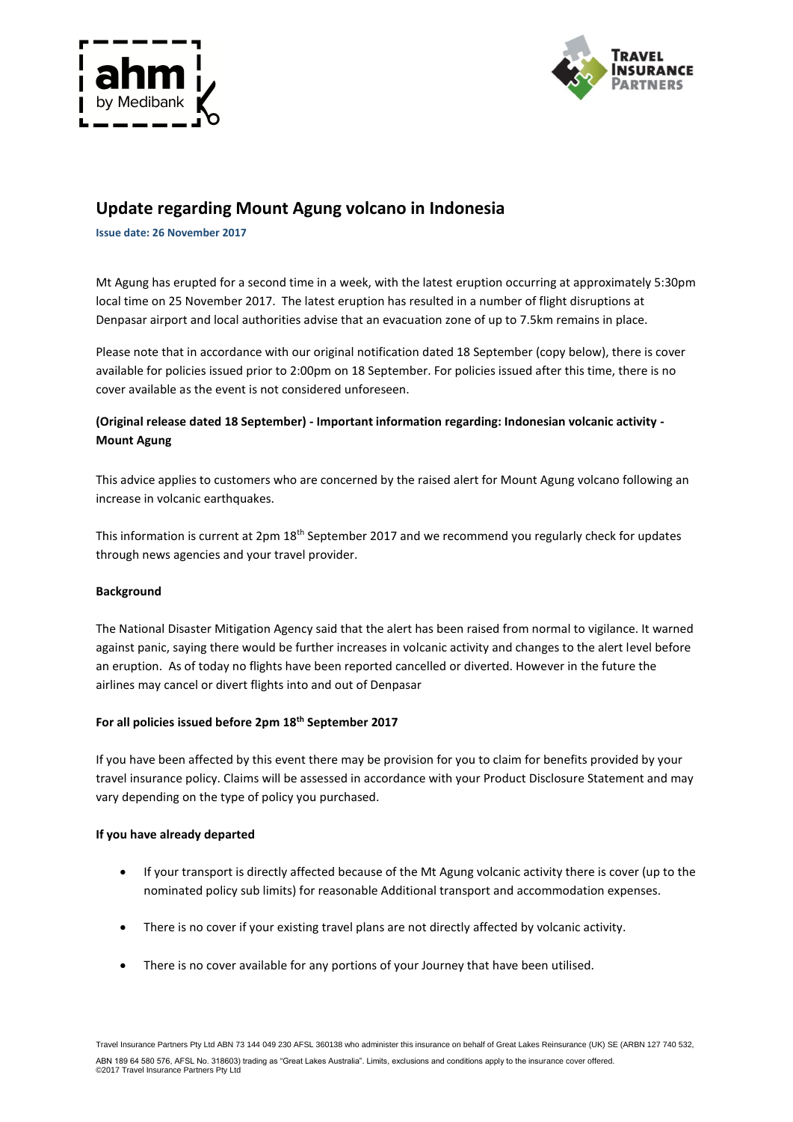



# **Update regarding Mount Agung volcano in Indonesia**

**Issue date: 26 November 2017**

Mt Agung has erupted for a second time in a week, with the latest eruption occurring at approximately 5:30pm local time on 25 November 2017. The latest eruption has resulted in a number of flight disruptions at Denpasar airport and local authorities advise that an evacuation zone of up to 7.5km remains in place.

Please note that in accordance with our original notification dated 18 September (copy below), there is cover available for policies issued prior to 2:00pm on 18 September. For policies issued after this time, there is no cover available as the event is not considered unforeseen.

# **(Original release dated 18 September) - Important information regarding: Indonesian volcanic activity - Mount Agung**

This advice applies to customers who are concerned by the raised alert for Mount Agung volcano following an increase in volcanic earthquakes.

This information is current at 2pm 18<sup>th</sup> September 2017 and we recommend you regularly check for updates through news agencies and your travel provider.

## **Background**

The National Disaster Mitigation Agency said that the alert has been raised from normal to vigilance. It warned against panic, saying there would be further increases in volcanic activity and changes to the alert level before an eruption. As of today no flights have been reported cancelled or diverted. However in the future the airlines may cancel or divert flights into and out of Denpasar

## **For all policies issued before 2pm 18th September 2017**

If you have been affected by this event there may be provision for you to claim for benefits provided by your travel insurance policy. Claims will be assessed in accordance with your Product Disclosure Statement and may vary depending on the type of policy you purchased.

## **If you have already departed**

- If your transport is directly affected because of the Mt Agung volcanic activity there is cover (up to the nominated policy sub limits) for reasonable Additional transport and accommodation expenses.
- There is no cover if your existing travel plans are not directly affected by volcanic activity.
- There is no cover available for any portions of your Journey that have been utilised.